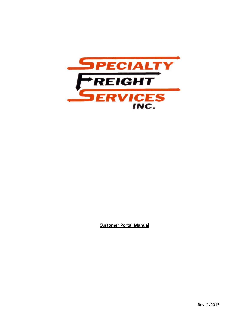

**Customer Portal Manual**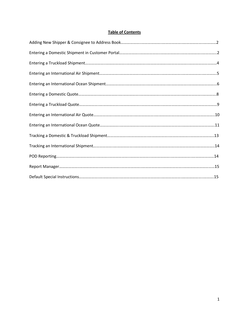# **Table of Contents**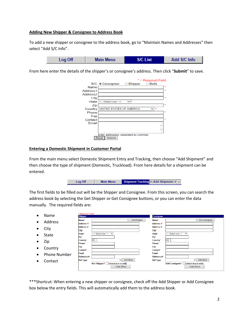#### **Adding New Shipper & Consignee to Address Book**

To add a new shipper or consignee to the address book, go to "Maintain Names and Addresses" then select "Add S/C Info".

|  | Log Off | <b>Main Menu</b> | <b>SIC List</b> | Add S/C Info |
|--|---------|------------------|-----------------|--------------|
|--|---------|------------------|-----------------|--------------|

From here enter the details of the shipper's or consignee's address. Then click "**Submit**" to save.

|                      |                               |                                      | $*$ = Required Field |
|----------------------|-------------------------------|--------------------------------------|----------------------|
|                      | S/C  in Consignee  ○ Cohipper |                                      | <b>Both</b>          |
| Name                 |                               |                                      | *                    |
| Address1             |                               |                                      |                      |
| Address <sub>2</sub> |                               |                                      |                      |
| City                 |                               |                                      | ×                    |
| State                | <-- Select one -->            | $\checkmark$<br>m                    |                      |
| Zip                  |                               |                                      |                      |
| Country              | UNITED STATES OF AMERICA      |                                      | $\star$              |
| Phone                |                               |                                      |                      |
| Fax                  |                               |                                      |                      |
| Contact              |                               |                                      | ×                    |
| Email                |                               |                                      |                      |
|                      |                               |                                      |                      |
|                      |                               |                                      |                      |
|                      |                               | Enter addresses, separated by commas |                      |
| <b>Reset</b>         | Submit                        |                                      |                      |

#### **Entering a Domestic Shipment in Customer Portal**

From the main menu select Domestic Shipment Entry and Tracking, then choose "Add Shipment" and then choose the type of shipment (Domestic, Truckload). From here details for a shipment can be entered.

| Log Off | <b>Main Menu</b> | <b>Shipment Tracking &lt;-- Add Shipment--&gt; <math>\vee</math></b> |
|---------|------------------|----------------------------------------------------------------------|

The first fields to be filled out will be the Shipper and Consignee. From this screen, you can search the address book by selecting the Get Shipper or Get Consignee buttons, or you can enter the data manually. The required fields are:

|           |                     | * Required Fields      |                                    |                   |                 |                        |                                     |                      |
|-----------|---------------------|------------------------|------------------------------------|-------------------|-----------------|------------------------|-------------------------------------|----------------------|
| ٠         | Name                | <b>Shipper</b>         |                                    |                   |                 | <b>Consignee</b>       |                                     |                      |
|           |                     | Name*                  |                                    |                   | Get Shipper     | Name*                  |                                     | <b>Get Consignee</b> |
| $\bullet$ | Address             | Address <sub>1</sub> * |                                    |                   |                 | Address <sub>1</sub> * |                                     |                      |
| $\bullet$ | City                | <b>Address 2</b>       |                                    |                   |                 | <b>Address 2</b>       |                                     |                      |
|           |                     | City*                  |                                    |                   |                 | City*                  |                                     |                      |
| ٠         | <b>State</b>        | State*                 | <-- Select one --><br>$\checkmark$ |                   |                 | State*                 | <-- Select one --><br>$\checkmark$  |                      |
|           |                     | Zip*                   |                                    |                   |                 | Zip*                   |                                     |                      |
|           | Zip                 | Country*               | <b>US</b>                          |                   |                 | Country*               | <b>US</b>                           |                      |
|           |                     | Phone*                 |                                    |                   |                 | Phone*                 |                                     |                      |
| ٠         | Country             | Fax                    |                                    |                   |                 | Fax                    |                                     |                      |
|           |                     | Contact*               |                                    |                   |                 | Contact*               |                                     |                      |
| $\bullet$ | <b>Phone Number</b> | Email                  |                                    |                   |                 | <b>Email</b>           |                                     |                      |
|           |                     | Reference#             |                                    |                   |                 | Reference#             |                                     |                      |
|           | Contact             | <b>Ref Type</b>        |                                    | $\vee$            | <b>Add More</b> | <b>Ref Type</b>        |                                     | $\vee$ Add More      |
|           |                     |                        | Add Shipper? C(check box to add)   |                   |                 |                        | Add Consignee? C (check box to add) |                      |
|           |                     |                        |                                    | <b>Trade Show</b> |                 |                        | <b>Trade Show</b>                   |                      |

\*\*\*Shortcut: When entering a new shipper or consignee, check off the Add Shipper or Add Consignee box below the entry fields. This will automatically add them to the address book.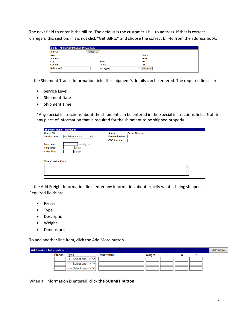The next field to enter is the bill-to. The default is the customer's bill-to address. If that is correct disregard this section, if it is not click "Get Bill-to" and choose the correct bill-to from the address book.

| Bill-To PrePaid Collect Third Party |                 |                          |  |
|-------------------------------------|-----------------|--------------------------|--|
| Bill To#                            | Get Bill-to     |                          |  |
| <b>Name</b>                         |                 | Contact                  |  |
| <b>Address</b>                      |                 | Email                    |  |
| City                                | <b>State</b>    | Zip                      |  |
| Country                             | Phone           | Fax                      |  |
| Reference#                          | <b>Ref Type</b> | Add More<br>$\checkmark$ |  |

In the Shipment Transit Information field, the shipment's details can be entered. The required fields are:

- **•** Service Level
- Shipment Date
- Shipment Time

\*Any special instructions about the shipment can be entered in the Special instructions field. Notate any piece of information that is required for the shipment to be shipped properly.

| <b>Shipment Transit Information</b> |                                    |                       |                        |
|-------------------------------------|------------------------------------|-----------------------|------------------------|
| <b>House Bill</b>                   |                                    | <b>Status</b>         | <b>Online Shipment</b> |
| Service Level*                      | <-- Select one --><br>$\checkmark$ | <b>Declared Value</b> |                        |
|                                     |                                    | <b>COD Amount</b>     |                        |
| Ship Date*                          | mm/dd/yyyy                         |                       |                        |
| Ship Time*                          | hh:mm                              |                       |                        |
| <b>Close Time</b>                   | hh:mm                              |                       |                        |
|                                     |                                    |                       |                        |
|                                     |                                    |                       |                        |
| <b>Special Instructions</b>         |                                    |                       |                        |
|                                     |                                    |                       |                        |
|                                     |                                    |                       |                        |
|                                     |                                    |                       |                        |
|                                     |                                    |                       |                        |

In the Add Freight Information field enter any information about exactly what is being shipped. Required fields are:

- Pieces
- Type
- **•** Description
- Weight
- Dimensions

To add another line item, click the Add More button.

| <b>Add Freight Information</b> |                                          |                    |        |   | Add More |
|--------------------------------|------------------------------------------|--------------------|--------|---|----------|
| <b>Pieces</b>                  | <b>Type</b>                              | <b>Description</b> | Weight | w |          |
|                                | $\leftarrow$ Select one --> $\leftarrow$ |                    |        |   |          |
|                                | $\leftarrow$ Select one --> $\leftarrow$ |                    |        |   |          |
|                                | $\leftarrow$ Select one --> $\leftarrow$ |                    |        |   |          |

When all information is entered, **click the SUBMIT button**.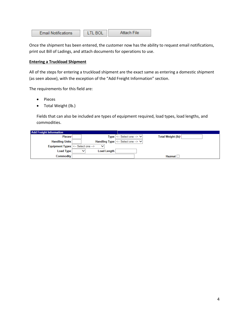| <b>Email Notifications</b> | <b>LTL BOL</b> | Attach File |
|----------------------------|----------------|-------------|
|----------------------------|----------------|-------------|

Once the shipment has been entered, the customer now has the ability to request email notifications, print out Bill of Ladings, and attach documents for operations to use.

# **Entering a Truckload Shipment**

All of the steps for entering a truckload shipment are the exact same as entering a domestic shipment (as seen above), with the exception of the "Add Freight Information" section.

The requirements for this field are:

- Pieces
- Total Weight (lb.)

Fields that can also be included are types of equipment required, load types, load lengths, and commodities.

| <b>Add Freight Information</b>      |              |                                                                                  |                    |
|-------------------------------------|--------------|----------------------------------------------------------------------------------|--------------------|
| Pieces*                             |              | $Type \left  \leftarrow$ Select one $\rightarrow \infty$                         | Total Weight (lb)* |
| <b>Handling Units</b>               |              | Handling Type $\vert \langle -\rangle$ Select one $\rightarrow \vert \vee \vert$ |                    |
| Equipment Types  <-- Select one --> | $\checkmark$ |                                                                                  |                    |
| Load Type                           | Load Length  |                                                                                  |                    |
| Commodity                           |              |                                                                                  | <b>Hazmat</b>      |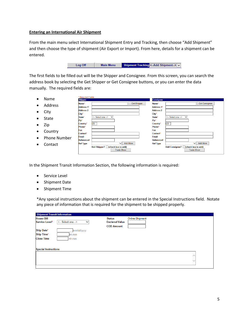#### **Entering an International Air Shipment**

From the main menu select International Shipment Entry and Tracking, then choose "Add Shipment" and then choose the type of shipment (Air Export or Import). From here, details for a shipment can be entered.



The first fields to be filled out will be the Shipper and Consignee. From this screen, you can search the address book by selecting the Get Shipper or Get Consignee buttons, or you can enter the data manually. The required fields are:

|           |                     | * Required Fields      |                                    |                   |                    |                   |                                     |
|-----------|---------------------|------------------------|------------------------------------|-------------------|--------------------|-------------------|-------------------------------------|
|           | Name                | <b>Shipper</b>         |                                    |                   |                    | <b>Consignee</b>  |                                     |
|           | Address             | Name*                  |                                    |                   | <b>Get Shipper</b> | Name*             | <b>Get Consignee</b>                |
| ٠         |                     | Address <sub>1</sub> * |                                    |                   |                    | <b>Address 1*</b> |                                     |
| ٠         | City                | <b>Address 2</b>       |                                    |                   |                    | <b>Address 2</b>  |                                     |
|           |                     | City*                  |                                    |                   |                    | City*             |                                     |
|           | State               | State*                 | <-- Select one --><br>$\checkmark$ |                   |                    | State*            | <-- Select one --><br>$\checkmark$  |
|           |                     | Zip*                   |                                    |                   |                    | Zip*              |                                     |
| ٠         | Zip                 | Country*               | <b>US</b>                          |                   |                    | Country*          | US                                  |
|           |                     | Phone*                 |                                    |                   |                    | Phone*            |                                     |
| ٠         | Country             | Fax                    |                                    |                   |                    | Fax               |                                     |
|           |                     | Contact*               |                                    |                   |                    | Contact*          |                                     |
| $\bullet$ | <b>Phone Number</b> | <b>Email</b>           |                                    |                   |                    | <b>Email</b>      |                                     |
|           |                     | Reference#             |                                    |                   |                    | Reference#        |                                     |
| ٠         | Contact             | <b>Ref Type</b>        |                                    | $\vee$ l          | <b>Add More</b>    | <b>Ref Type</b>   | Add More<br>◡                       |
|           |                     |                        | Add Shipper? □ (check box to add)  |                   |                    |                   | Add Consignee? C (check box to add) |
|           |                     |                        |                                    | <b>Trade Show</b> |                    |                   | <b>Trade Show</b>                   |

In the Shipment Transit Information Section, the following information is required:

.<br>Kimalandar al-maran

- **•** Service Level
- Shipment Date
- Shipment Time

\*Any special instructions about the shipment can be entered in the Special Instructions field. Notate any piece of information that is required for the shipment to be shipped properly.

| <b>House Bill</b>           |                                    | <b>Status</b>         | <b>Online Shipment</b> |              |
|-----------------------------|------------------------------------|-----------------------|------------------------|--------------|
| Service Level*              | <-- Select one --><br>$\checkmark$ | <b>Declared Value</b> |                        |              |
|                             |                                    | <b>COD Amount</b>     |                        |              |
| Ship Date*                  | mm/dd/yyyy                         |                       |                        |              |
| <b>Ship Time*</b>           | hh:mm                              |                       |                        |              |
| <b>Close Time</b>           | hh:mm                              |                       |                        |              |
|                             |                                    |                       |                        |              |
|                             |                                    |                       |                        |              |
| <b>Special Instructions</b> |                                    |                       |                        |              |
|                             |                                    |                       |                        |              |
|                             |                                    |                       |                        |              |
|                             |                                    |                       |                        | $\checkmark$ |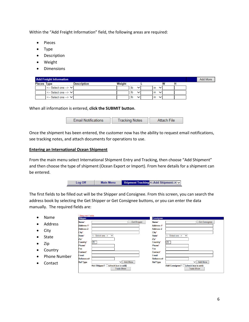Within the "Add Freight Information" field, the following areas are required:

- Pieces
- Type
- Description
- Weight
- Dimensions

|             | <b>Add Freight Information</b>             |             |        |      |      |  | Add More |
|-------------|--------------------------------------------|-------------|--------|------|------|--|----------|
| Pieces Type |                                            | Description | Weight |      |      |  |          |
|             | <-- Select one --> V                       |             |        | Ib   | l in |  |          |
|             | $\leftarrow$ Select one $\rightarrow \vee$ |             |        | l Ib | l In |  |          |
|             | $\leftarrow$ Select one $\rightarrow \vee$ |             |        | l Ib | l In |  |          |

When all information is entered, **click the SUBMIT button**.

| <b>Email Notifications</b> | Tracking Notes | Attach File |
|----------------------------|----------------|-------------|
|----------------------------|----------------|-------------|

Once the shipment has been entered, the customer now has the ability to request email notifications, see tracking notes, and attach documents for operations to use.

#### **Entering an International Ocean Shipment**

From the main menu select International Shipment Entry and Tracking, then choose "Add Shipment" and then choose the type of shipment (Ocean Export or Import). From here details for a shipment can be entered.

| Log Off | <b>Main Menu</b> | Shipment Tracking <-- Add Shipment--> v |
|---------|------------------|-----------------------------------------|
|         |                  |                                         |

The first fields to be filled out will be the Shipper and Consignee. From this screen, you can search the address book by selecting the Get Shipper or Get Consignee buttons, or you can enter the data manually. The required fields are:

| $\bullet$ | Name                | * Required Fields |                                    |                   |                    |                      |                                    |
|-----------|---------------------|-------------------|------------------------------------|-------------------|--------------------|----------------------|------------------------------------|
|           |                     | <b>Shipper</b>    |                                    |                   |                    | <b>Consignee</b>     |                                    |
|           | <b>Address</b>      | Name*             |                                    |                   | <b>Get Shipper</b> | Name*                | <b>Get Consignee</b>               |
| $\bullet$ |                     | <b>Address 1*</b> |                                    |                   |                    | <b>Address 1*</b>    |                                    |
| $\bullet$ | City                | <b>Address 2</b>  |                                    |                   |                    | <b>Address 2</b>     |                                    |
|           |                     | City*             |                                    |                   |                    | City*                |                                    |
|           | <b>State</b>        | State*            | <-- Select one --><br>$\checkmark$ |                   |                    | State*               | <-- Select one --><br>$\checkmark$ |
|           |                     | Zip*              |                                    |                   |                    | Zip*                 |                                    |
| $\bullet$ | Zip                 | Country*          | <b>US</b>                          |                   |                    | Country <sup>*</sup> | <b>US</b>                          |
|           |                     | Phone*            |                                    |                   |                    | Phone*               |                                    |
| $\bullet$ | Country             | Fax               |                                    |                   |                    | Fax                  |                                    |
|           |                     | Contact*          |                                    |                   |                    | Contact*             |                                    |
| $\bullet$ | <b>Phone Number</b> | Email             |                                    |                   |                    | <b>Email</b>         |                                    |
|           |                     | Reference#        |                                    |                   |                    | Reference#           |                                    |
| $\bullet$ | Contact             | <b>Ref Type</b>   |                                    | ◡                 | Add More           | <b>Ref Type</b>      | Add More<br>◡                      |
|           |                     |                   | Add Shipper? □ (check box to add)  |                   |                    |                      | Add Consignee? C(check box to add) |
|           |                     |                   |                                    | <b>Trade Show</b> |                    |                      | <b>Trade Show</b>                  |
|           |                     |                   |                                    |                   |                    |                      |                                    |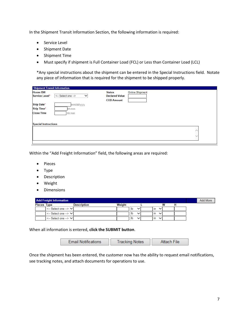In the Shipment Transit Information Section, the following information is required:

- **•** Service Level
- Shipment Date
- Shipment Time
- Must specify if shipment is Full Container Load (FCL) or Less than Container Load (LCL)

\*Any special instructions about the shipment can be entered in the Special Instructions field. Notate any piece of information that is required for the shipment to be shipped properly.

| <b>Shipment Transit Information</b>  |                                       |                        |  |
|--------------------------------------|---------------------------------------|------------------------|--|
| <b>House Bill</b>                    | <b>Status</b>                         | <b>Online Shipment</b> |  |
| <-- Select one --><br>Service Level* | <b>Declared Value</b><br>$\checkmark$ |                        |  |
|                                      | <b>COD Amount</b>                     |                        |  |
| Ship Date*                           | mm/dd/yyyy                            |                        |  |
| <b>Ship Time*</b><br>hh:mm           |                                       |                        |  |
| <b>Close Time</b><br>hh:mm           |                                       |                        |  |
|                                      |                                       |                        |  |
| <b>Special Instructions</b>          |                                       |                        |  |
|                                      |                                       |                        |  |
|                                      |                                       |                        |  |
|                                      |                                       |                        |  |
|                                      |                                       |                        |  |

Within the "Add Freight Information" field, the following areas are required:

- Pieces
- Type
- Description
- Weight
- Dimensions

|             | <b>Add Freight Information</b> |                    |        |    |  |      |              |   |  | Add More |
|-------------|--------------------------------|--------------------|--------|----|--|------|--------------|---|--|----------|
| Pieces Type |                                | <b>Description</b> | Weight |    |  |      |              | w |  |          |
|             | .<-- Select one --> ∨l         |                    |        | lb |  | l ın | $\checkmark$ |   |  |          |
|             | <-- Select one --> $\vee$      |                    |        | lb |  | l ın | $\check{ }$  |   |  |          |
|             | <-- Select one --> VI          |                    |        | lb |  | l ın |              |   |  |          |

When all information is entered, **click the SUBMIT button**.

| <b>Email Notifications</b> | Tracking Notes. | Attach File |
|----------------------------|-----------------|-------------|
|----------------------------|-----------------|-------------|

Once the shipment has been entered, the customer now has the ability to request email notifications, see tracking notes, and attach documents for operations to use.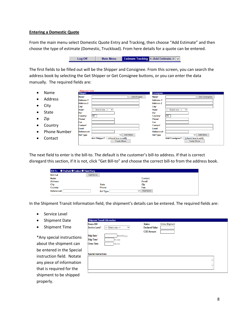#### **Entering a Domestic Quote**

From the main menu select Domestic Quote Entry and Tracking, then choose "Add Estimate" and then choose the type of estimate (Domestic, Truckload). From here details for a quote can be entered.

Log Off Main Menu Estimate Tracking <-- Add Estimate--> V

The first fields to be filled out will be the Shipper and Consignee. From this screen, you can search the address book by selecting the Get Shipper or Get Consignee buttons, or you can enter the data manually. The required fields are:

|           |                     | * Required Fields |                                    |                   |                 |                      |                                    |  |
|-----------|---------------------|-------------------|------------------------------------|-------------------|-----------------|----------------------|------------------------------------|--|
| $\bullet$ | Name                | <b>Shipper</b>    |                                    |                   |                 | <b>Consignee</b>     |                                    |  |
|           |                     | Name*             |                                    |                   | Get Shipper     | Name*                | <b>Get Consignee</b>               |  |
| $\bullet$ | Address             | <b>Address 1*</b> |                                    |                   |                 | <b>Address 1*</b>    |                                    |  |
|           |                     | <b>Address 2</b>  |                                    |                   |                 | <b>Address 2</b>     |                                    |  |
|           | City                | City*             |                                    |                   |                 | City*                |                                    |  |
|           |                     | State*            | <-- Select one --><br>$\checkmark$ |                   |                 | State <sup>*</sup>   | <-- Select one --><br>$\checkmark$ |  |
|           | <b>State</b>        | Zip*              |                                    |                   |                 | Zip*                 |                                    |  |
|           |                     | Country*          | US                                 |                   |                 | Country <sup>*</sup> | US                                 |  |
|           | Zip                 | Phone*            |                                    |                   |                 | Phone*               |                                    |  |
|           |                     | Fax               |                                    |                   |                 | Fax                  |                                    |  |
| ٠         | Country             | Contact*          |                                    |                   |                 | Contact*             |                                    |  |
|           |                     | Email             |                                    |                   |                 | Email                |                                    |  |
| $\bullet$ | <b>Phone Number</b> | Reference#        |                                    |                   |                 | Reference#           |                                    |  |
|           |                     | <b>Ref Type</b>   |                                    | ◡                 | <b>Add More</b> | <b>Ref Type</b>      | <b>Add More</b><br>◡               |  |
|           | Contact             |                   | Add Shipper? Check box to add)     |                   |                 |                      | Add Consignee? C(check box to add) |  |
|           |                     |                   |                                    | <b>Trade Show</b> |                 |                      | <b>Trade Show</b>                  |  |

The next field to enter is the bill-to. The default is the customer's bill-to address. If that is correct disregard this section, if it is not, click "Get Bill-to" and choose the correct bill-to from the address book.

| Bill-To PrePaid Collect Third Party |                 |               |  |
|-------------------------------------|-----------------|---------------|--|
| Bill To#                            | Get Bill-to     |               |  |
| <b>Name</b>                         |                 | Contact       |  |
| <b>Address</b>                      |                 | Email         |  |
| City                                | <b>State</b>    | Zip           |  |
| <b>Country</b>                      | <b>Phone</b>    | Fax           |  |
| Reference#                          | <b>Ref Type</b> | Add More<br>ັ |  |

In the Shipment Transit Information field, the shipment's details can be entered. The required fields are:

- Service Level
- Shipment Date
- Shipment Time

\*Any special instructions about the shipment can be entered in the Special instruction field. Notate any piece of information that is required for the shipment to be shipped properly.

| <b>House Bill</b>           |                         | <b>Status</b>         | <b>Online Shipment</b> |  |
|-----------------------------|-------------------------|-----------------------|------------------------|--|
| Service Level*              | <-- Select one --><br>◡ | <b>Declared Value</b> |                        |  |
|                             |                         | <b>COD Amount</b>     |                        |  |
| Ship Date*                  | mm/dd/yyyy              |                       |                        |  |
| Ship Time*                  | hh:mm                   |                       |                        |  |
| <b>Close Time</b>           | hh:mm                   |                       |                        |  |
| <b>Special Instructions</b> |                         |                       |                        |  |
|                             |                         |                       |                        |  |
|                             |                         |                       |                        |  |
|                             |                         |                       |                        |  |
|                             |                         |                       |                        |  |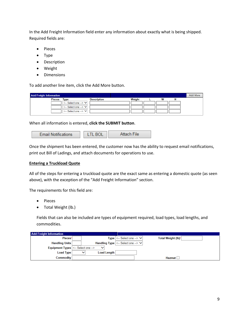In the Add Freight Information field enter any information about exactly what is being shipped. Required fields are:

- Pieces
- Type
- Description
- Weight
- Dimensions

To add another line item, click the Add More button.

| <b>Add Freight Information</b> |                                          |                    |        |   | Add More |
|--------------------------------|------------------------------------------|--------------------|--------|---|----------|
| <b>Pieces</b>                  | Type                                     | <b>Description</b> | Weight | w |          |
|                                | $\leftarrow$ Select one --> $\leftarrow$ |                    |        |   |          |
|                                | $\leftarrow$ Select one --> $\leftarrow$ |                    |        |   |          |
|                                | $\leq$ -- Select one --> $\vee$          |                    |        |   |          |

When all information is entered, **click the SUBMIT button**.

| <b>Email Notifications</b> |  |
|----------------------------|--|

Once the shipment has been entered, the customer now has the ability to request email notifications, print out Bill of Ladings, and attach documents for operations to use.

### **Entering a Truckload Quote**

All of the steps for entering a truckload quote are the exact same as entering a domestic quote (as seen above), with the exception of the "Add Freight Information" section.

The requirements for this field are:

- Pieces
- Total Weight (lb.)

Fields that can also be included are types of equipment required, load types, load lengths, and commodities.

| <b>Add Freight Information</b>      |              |                                                                                                     |                    |  |
|-------------------------------------|--------------|-----------------------------------------------------------------------------------------------------|--------------------|--|
| Pieces*                             |              | $Type \left  \leftarrow$ Select one $\rightarrow \infty$                                            | Total Weight (lb)* |  |
| <b>Handling Units</b>               |              | Handling Type $\left  \left( \left. \cdots \right. \right. \right $ Select one $\rightarrow \infty$ |                    |  |
| Equipment Types  <-- Select one --> | $\checkmark$ |                                                                                                     |                    |  |
| Load Type                           | Load Length  |                                                                                                     |                    |  |
| Commodity                           |              |                                                                                                     | <b>Hazmat</b>      |  |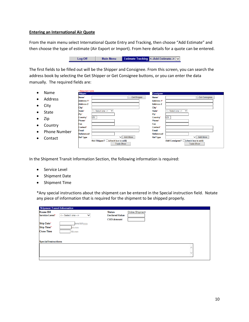#### **Entering an International Air Quote**

From the main menu select International Quote Entry and Tracking, then choose "Add Estimate" and then choose the type of estimate (Air Export or Import). From here details for a quote can be entered.

> **Estimate Tracking <-- Add Estimate-> V** Log Off **Main Menu**

The first fields to be filled out will be the Shipper and Consignee. From this screen, you can search the address book by selecting the Get Shipper or Get Consignee buttons, or you can enter the data manually. The required fields are:

|                           |                         | * Required Fields      |                                    |                        |          |
|---------------------------|-------------------------|------------------------|------------------------------------|------------------------|----------|
| $\bullet$                 | Name                    | <b>Shipper</b>         |                                    | <b>Consignee</b>       |          |
|                           |                         | Name*                  | <b>Get Shipper</b>                 | Name*                  |          |
| $\bullet$                 | Address                 | Address <sub>1</sub> * |                                    | Address <sub>1</sub> * |          |
| $\bullet$                 | City                    | <b>Address 2</b>       |                                    | <b>Address 2</b>       |          |
|                           |                         | City*                  |                                    | City*                  |          |
|                           |                         | State*                 | <-- Select one --><br>$\checkmark$ | State*                 | <- Seler |
| <b>State</b><br>$\bullet$ |                         | Zip*                   |                                    | Zip*                   |          |
| $\bullet$                 | Zip                     | Country*               | <b>US</b>                          | Country <sup>*</sup>   | US       |
|                           |                         | Phone*                 |                                    | Phone*                 |          |
| $\bullet$                 | Country                 | Fax                    |                                    | Fax                    |          |
|                           |                         | Contact*               |                                    | Contact*               |          |
|                           | Districts Materials and | <b>Email</b>           |                                    | <b>Email</b>           |          |

.<br>Reference#

**Ref Type** 

- Phone Number
- Contact

Email **Reference#** V Add More **Ref Type** V Add More Add Shipper? C(check box to add) **Add Consignee?** (check box to add) **Trade Show Trade Show** 

Get Consignee

In the Shipment Transit Information Section, the following information is required:

- **•** Service Level
- Shipment Date
- Shipment Time

\*Any special instructions about the shipment can be entered in the Special instruction field. Notate any piece of information that is required for the shipment to be shipped properly.

| <b>Shipment Transit Information</b> |                                    |                       |                        |
|-------------------------------------|------------------------------------|-----------------------|------------------------|
| <b>House Bill</b>                   |                                    | <b>Status</b>         | <b>Online Shipment</b> |
| Service Level*                      | <-- Select one --><br>$\checkmark$ | <b>Declared Value</b> |                        |
|                                     |                                    | <b>COD Amount</b>     |                        |
| Ship Date*                          | mm/dd/yyyy                         |                       |                        |
| Ship Time*                          | hh:mm                              |                       |                        |
| <b>Close Time</b>                   | hh:mm                              |                       |                        |
|                                     |                                    |                       |                        |
| <b>Special Instructions</b>         |                                    |                       |                        |
|                                     |                                    |                       |                        |
|                                     |                                    |                       |                        |
|                                     |                                    |                       | $\checkmark$           |
|                                     |                                    |                       |                        |
|                                     |                                    |                       |                        |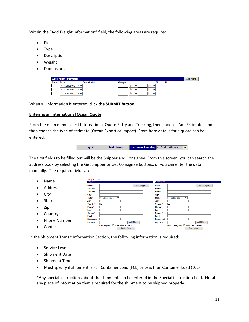Within the "Add Freight Information" field, the following areas are required:

- Pieces
- Type
- Description
- Weight
- Dimensions

| <b>Add Freight Information</b> | Add More                  |                    |        |      |              |  |  |
|--------------------------------|---------------------------|--------------------|--------|------|--------------|--|--|
| <b>Pieces Type</b>             |                           | <b>Description</b> | Weight |      |              |  |  |
|                                | <-- Select one --> $\vee$ |                    |        | l Ib | In           |  |  |
|                                | <-- Select one --> VI     |                    |        | l Ib | $\mathsf{I}$ |  |  |
|                                | l<-- Select one --> ∨l    |                    |        | l Ib | In           |  |  |

When all information is entered, **click the SUBMIT button**.

#### **Entering an International Ocean Quote**

From the main menu select International Quote Entry and Tracking, then choose "Add Estimate" and then choose the type of estimate (Ocean Export or Import). From here details for a quote can be entered.

| Log Off | <b>Main Menu</b> | <b>Estimate Tracking &lt;-- Add Estimate-&gt;</b> |
|---------|------------------|---------------------------------------------------|

The first fields to be filled out will be the Shipper and Consignee. From this screen, you can search the address book by selecting the Get Shipper or Get Consignee buttons, or you can enter the data manually. The required fields are:

| Name                             | * Required Fields<br><b>Shipper</b>                    | <b>Consignee</b>                                        |
|----------------------------------|--------------------------------------------------------|---------------------------------------------------------|
|                                  | Name*                                                  | <b>Get Shipper</b><br>Get Consignee<br>Name*            |
| <b>Address</b><br>$\bullet$      | Address <sub>1</sub> *                                 | <b>Address 1*</b>                                       |
|                                  | <b>Address 2</b>                                       | <b>Address 2</b>                                        |
| ر ity<br>٠                       | City*                                                  | City*                                                   |
|                                  | State*<br><-- Select one --><br>$\checkmark$           | State*<br><-- Select one --><br>$\checkmark$            |
| State                            | Zip*                                                   | Zip*                                                    |
|                                  | <b>US</b><br>Country*                                  | US<br>Country <sup>*</sup>                              |
| Zip<br>٠                         | Phone*                                                 | Phone*                                                  |
|                                  | Fax                                                    | Fax                                                     |
| Country<br>$\bullet$             | Contact*<br><b>Email</b>                               | Contact*<br><b>Email</b>                                |
|                                  | Reference#                                             | Reference#                                              |
| <b>Phone Number</b><br>$\bullet$ | <b>Add More</b><br>◡⊩<br><b>Ref Type</b>               | $\vee$ Add More<br><b>Ref Type</b>                      |
| Contact<br>٠                     | Add Shipper? □ (check box to add)<br><b>Trade Show</b> | Add Consignee? C(check box to add)<br><b>Trade Show</b> |

In the Shipment Transit Information Section, the following information is required:

- **•** Service Level
- Shipment Date
- Shipment Time
- Must specify if shipment is Full Container Load (FCL) or Less than Container Load (LCL)

\*Any special instructions about the shipment can be entered in the Special instruction field. Notate any piece of information that is required for the shipment to be shipped properly.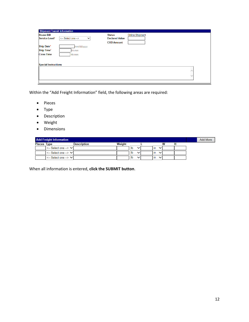| <b>Shipment Transit Information</b>       |                       |                        |
|-------------------------------------------|-----------------------|------------------------|
| <b>House Bill</b>                         | <b>Status</b>         | <b>Online Shipment</b> |
| Service Level*<br><-- Select one --><br>◡ | <b>Declared Value</b> |                        |
|                                           | <b>COD Amount</b>     |                        |
| <b>Ship Date*</b><br>mm/dd/yyyy           |                       |                        |
| Ship Time*<br>hh:mm                       |                       |                        |
| <b>Close Time</b><br>hh:mm                |                       |                        |
|                                           |                       |                        |
|                                           |                       |                        |
| <b>Special Instructions</b>               |                       |                        |
|                                           |                       |                        |
|                                           |                       |                        |
|                                           |                       | ◡                      |
|                                           |                       |                        |

Within the "Add Freight Information" field, the following areas are required:

- Pieces
- Type
- Description
- Weight
- **•** Dimensions

| <b>Add Freight Information</b> |                                    |             |        |      |  |  |      |  |   |  |  | Add More |
|--------------------------------|------------------------------------|-------------|--------|------|--|--|------|--|---|--|--|----------|
| Pieces Type                    |                                    | Description | Weight |      |  |  |      |  | w |  |  |          |
|                                | <-- Select one --> V               |             |        | l Ib |  |  | l In |  |   |  |  |          |
|                                | $\leftarrow$ Select one --> $\vee$ |             |        | l Ib |  |  | l in |  |   |  |  |          |
|                                | <-- Select one --> VI              |             |        | l Ib |  |  | l in |  |   |  |  |          |

When all information is entered, **click the SUBMIT button**.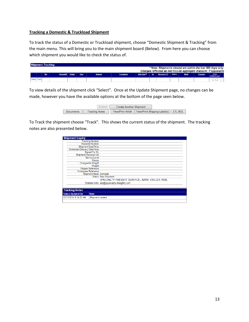#### **Tracking a Domestic & Truckload Shipment**

To track the status of a Domestic or Truckload shipment, choose "Domestic Shipment & Tracking" from the main menu. This will bring you to the main shipment board (Below). From here you can choose which shipment you would like to check the status of.

| <b>Shipment Tracking</b>                                           |     |                  |  |             |                |                  |                    |    |                    |  |             |                |                      |
|--------------------------------------------------------------------|-----|------------------|--|-------------|----------------|------------------|--------------------|----|--------------------|--|-------------|----------------|----------------------|
| * Note: Shipments viewed are within the last 360 days only.        |     |                  |  |             |                |                  |                    |    |                    |  |             |                |                      |
| Charges reflected do not include aggregate discount, if applicable |     |                  |  |             |                |                  |                    |    |                    |  |             |                |                      |
|                                                                    | Stn | Housebill Origin |  | <b>Dest</b> | <b>Shipper</b> | <b>Consignee</b> | <b>Ship Date V</b> | Sv | Recovery DT Status |  | <b>Mode</b> | <b>Charges</b> | Print<br>IIAWD/Label |
|                                                                    |     |                  |  |             |                |                  |                    |    |                    |  |             |                |                      |
|                                                                    |     |                  |  |             |                |                  |                    |    |                    |  |             |                |                      |

To view details of the shipment click "Select". Once at the Update Shipment page, no changes can be made, however you have the available options at the bottom of the page seen below.

|                  |                       | <b>Create Another Shipment</b> |                                                             |  |
|------------------|-----------------------|--------------------------------|-------------------------------------------------------------|--|
| <b>Documents</b> | <b>Tracking Notes</b> |                                | View/Print Airbill   View/Print Shipping Label(s)   LTL BOL |  |

To Track the shipment choose "Track". This shows the current status of the shipment. The tracking notes are also presented below.

| <b>Shipment Inquiry</b>       |                                                |
|-------------------------------|------------------------------------------------|
|                               | <b>Tracking Number:</b>                        |
|                               | Housebill Number:                              |
|                               | <b>Shipment Date/Time:</b>                     |
| Scheduled Delivery Date/Time: |                                                |
|                               | Signed For By:                                 |
|                               | Shipment Received On:                          |
|                               | Service Level:                                 |
|                               | Pieces:                                        |
|                               | Chargeable Weight:                             |
|                               | Weight:                                        |
|                               | <b>Shipper Reference:</b>                      |
|                               | <b>Consignee Reference:</b>                    |
|                               | <b>Shipment Mode: Domestic</b>                 |
|                               | <b>Status: New Shipment</b>                    |
|                               | SPECIALTY FREIGHT SERVICE- AIRW, 610-521-7650, |
|                               | Station Info: air@specialty-freight.com        |
|                               |                                                |
| <b>Tracking Notes</b>         |                                                |
| <b>Status Updated On</b>      | <b>Note</b>                                    |
| 12/13/2014 9:34:02 AM         | Shipment created.                              |
|                               |                                                |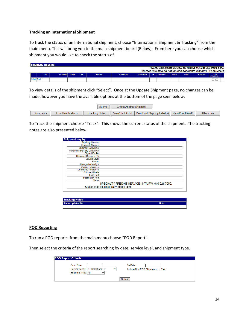#### **Tracking an International Shipment**

To track the status of an International shipment, choose "International Shipment & Tracking" from the main menu. This will bring you to the main shipment board (Below). From here you can choose which shipment you would like to check the status of.

|                                                                    |  |            |                  |  | <b>Shipment Tracking</b> |                |           |             |     |                    |  |      |                |                      |  |  |  |
|--------------------------------------------------------------------|--|------------|------------------|--|--------------------------|----------------|-----------|-------------|-----|--------------------|--|------|----------------|----------------------|--|--|--|
| * Note: Shipments viewed are within the last 360 days only.        |  |            |                  |  |                          |                |           |             |     |                    |  |      |                |                      |  |  |  |
| Charges reflected do not include aggregate discount, if applicable |  |            |                  |  |                          |                |           |             |     |                    |  |      |                |                      |  |  |  |
|                                                                    |  | <b>Stn</b> | Housebill Origin |  | <b>Dest</b>              | <b>Shipper</b> | Consignee | Ship Date V | Sv. | Recovery DT Status |  | Mode | <b>Charges</b> | Print<br>IIAWB/Label |  |  |  |
| Select Track                                                       |  |            |                  |  |                          |                |           |             |     |                    |  |      |                |                      |  |  |  |

To view details of the shipment click "Select". Once at the Update Shipment page, no changes can be made, however you have the available options at the bottom of the page seen below.

| <b>Submit</b> |                            |                       | <b>Create Another Shipment</b> |                                                                     |             |
|---------------|----------------------------|-----------------------|--------------------------------|---------------------------------------------------------------------|-------------|
| Documents     | <b>Email Notifications</b> | <b>Tracking Notes</b> |                                | View/Print Airbill   View/Print Shipping Label(s)   View/Print HAWB | Attach File |

To Track the shipment choose "Track". This shows the current status of the shipment. The tracking notes are also presented below.

| <b>Tracking Number:</b>              |                                                   |
|--------------------------------------|---------------------------------------------------|
| Housebill Number:                    |                                                   |
| <b>Shipment Date/Time:</b>           |                                                   |
| <b>Scheduled Delivery Date/Time:</b> |                                                   |
| Signed For By:                       |                                                   |
| Shipment Received On:                |                                                   |
| Service Level:                       |                                                   |
| Pieces:                              |                                                   |
| Chargeable Weight:                   |                                                   |
| <b>Shipper Reference:</b>            |                                                   |
| <b>Consignee Reference:</b>          |                                                   |
| Shipment Mode:                       |                                                   |
| <b>Load Port:</b>                    |                                                   |
| <b>Destination Port:</b>             |                                                   |
| Status:                              |                                                   |
|                                      | SPECIALTY FREIGHT SERVICE- INTAIRW, 610-521-7650, |
|                                      | Station Info: intl@specialty-freight.com          |
|                                      |                                                   |

| <b>Tracking Notes</b>    |             |
|--------------------------|-------------|
| <b>Status Updated On</b> | <b>Note</b> |
|                          |             |

### **POD Reporting**

To run a POD reports, from the main menu choose "POD Report".

Then select the criteria of the report searching by date, service level, and shipment type.

| <b>POD Report Criteria</b>                         |                    |              |                                            |
|----------------------------------------------------|--------------------|--------------|--------------------------------------------|
| From Date:<br>Service Level:<br>Shipment Type: All | <-- Select one --> | $\checkmark$ | To Date:<br>Include Non POD Shipments: Yes |
|                                                    |                    |              | Submit                                     |